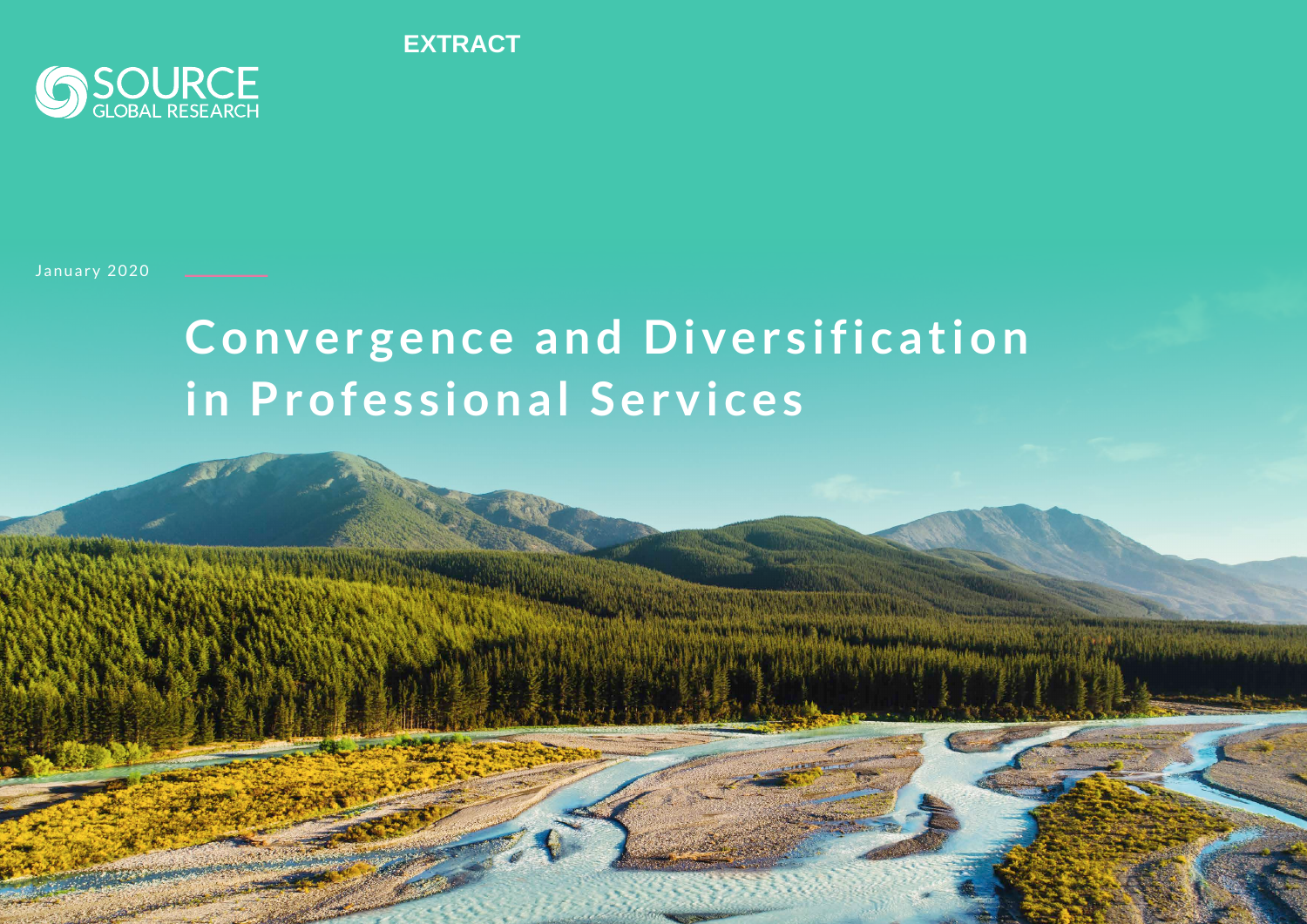**EXTRACT**



#### January 2020

# **Convergence and Diversification in Professional Services**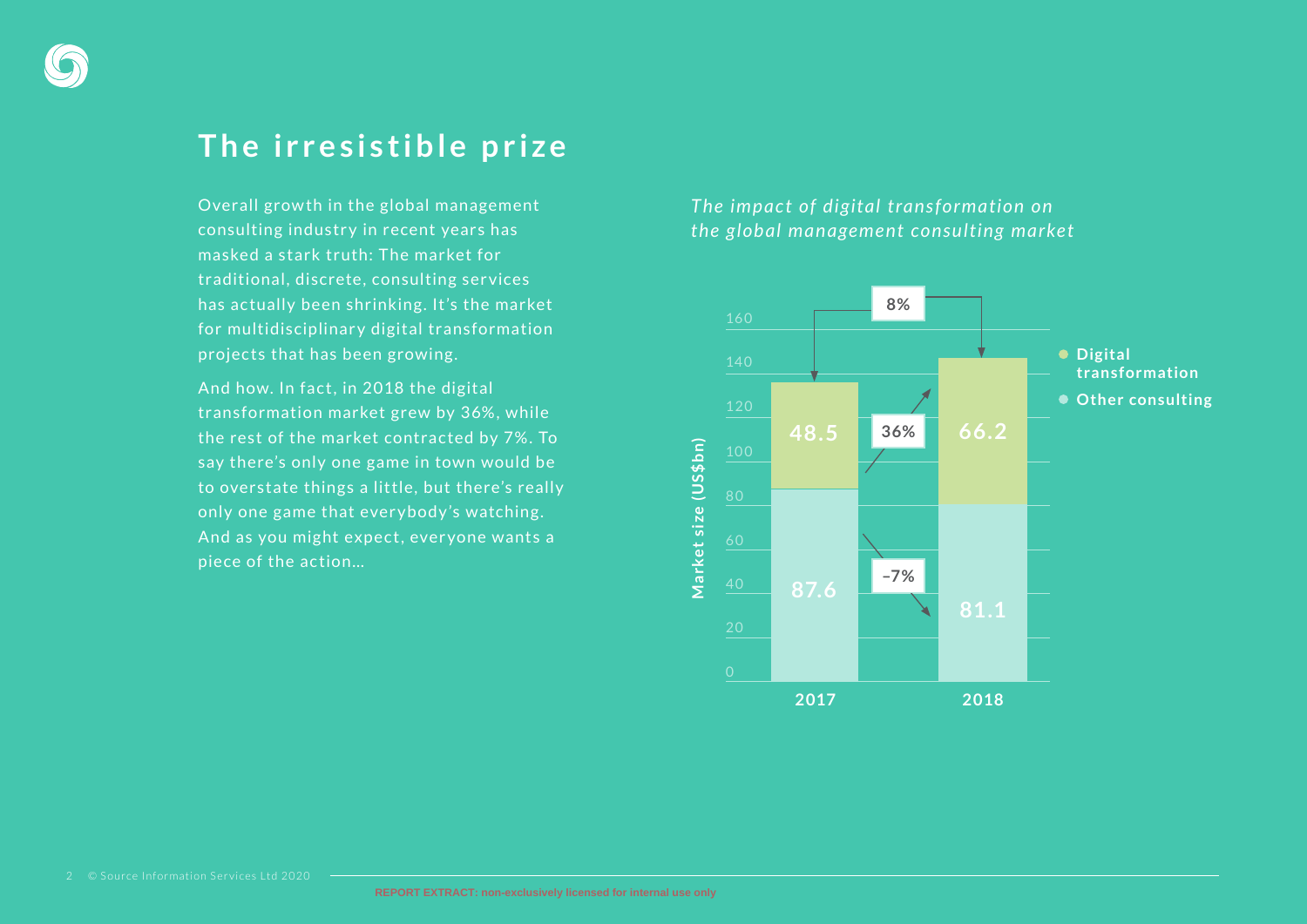### **The irresistible prize**

Overall grow th in the global management consulting industry in recent years has masked a stark truth: The market for traditional, discrete, consulting ser vices has actually been shrinking. It's the market for multidisciplinary digital transformation projects that has been growing.

And how. In fact, in 2018 the digital transformation market grew by 36% , while the rest of the market contracted by 7%. To say there's only one game in town would be to overstate things a little, but there's really only one game that ever ybody 's watching. And as you might expect, everyone wants a piece of the action…

### *The impact of digital transformation on the global management consulting market*

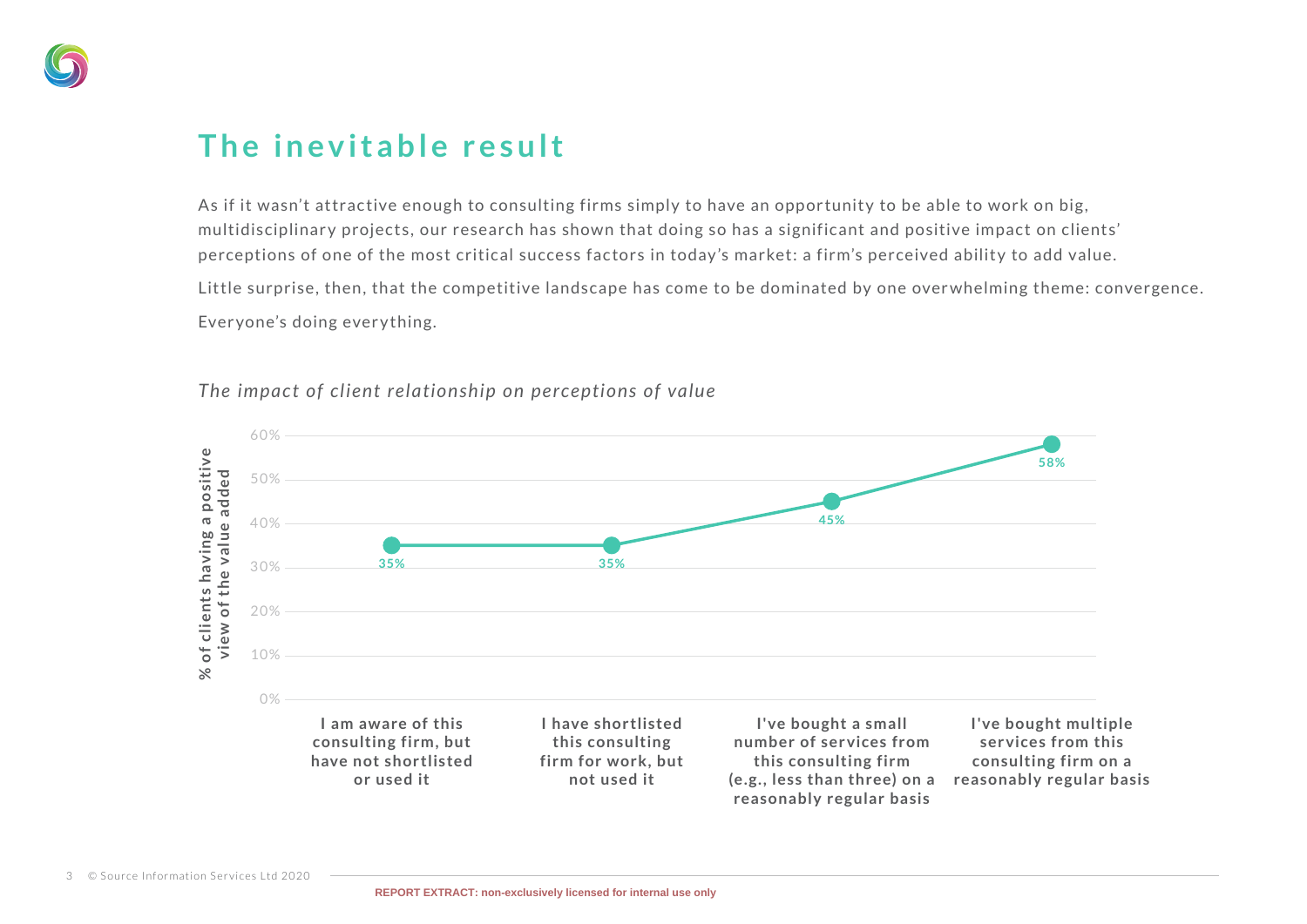

## **The inevitable result**

As if it wasn't attractive enough to consulting firms simply to have an opportunity to be able to work on big, multidisciplinary projects, our research has shown that doing so has a significant and positive impact on clients' perceptions of one of the most critical success factors in today's market: a firm's perceived ability to add value.

Little surprise, then, that the competitive landscape has come to be dominated by one overwhelming theme: convergence.

Everyone's doing every thing.



#### *The impact of client relationship on perceptions of value*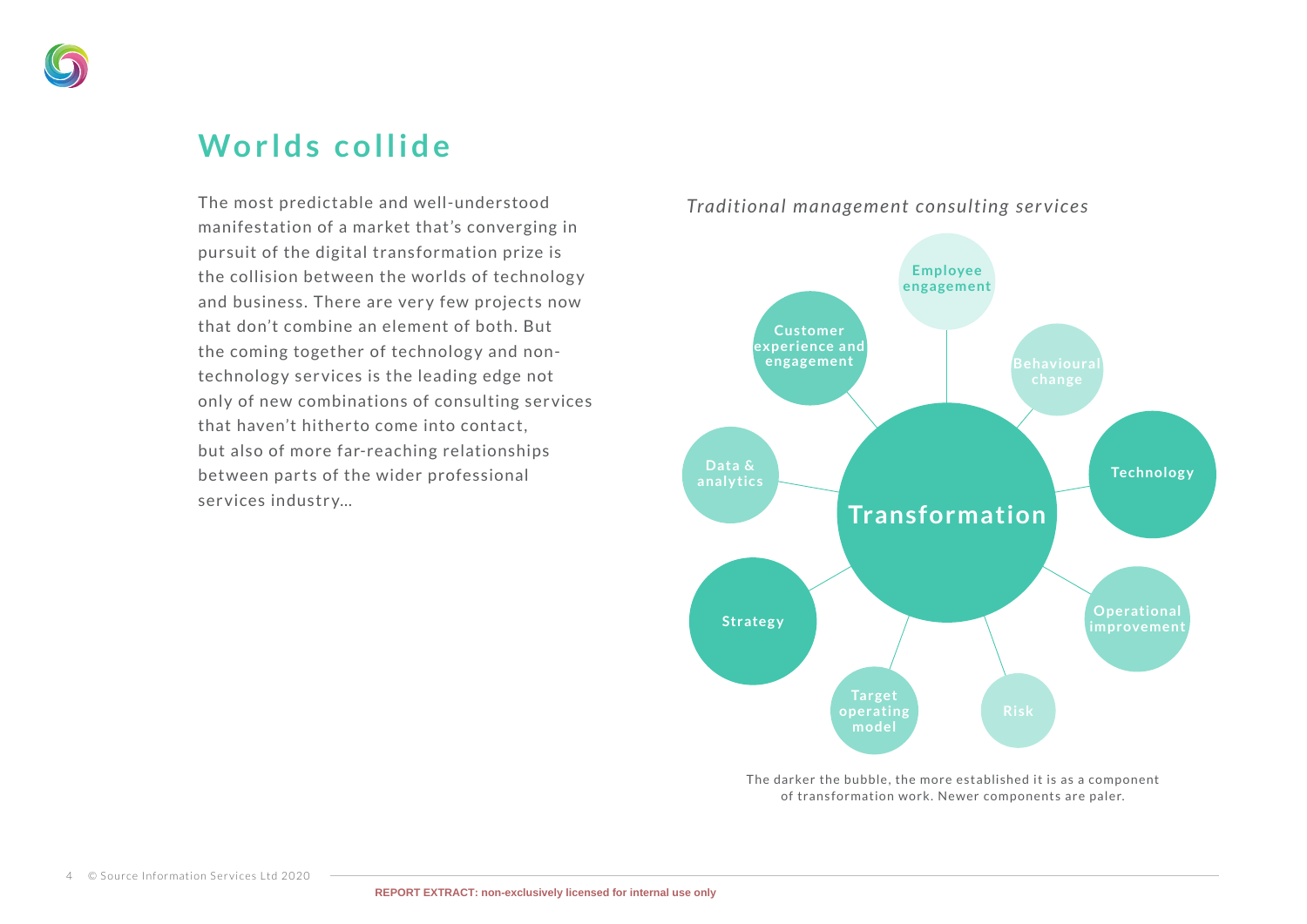

## **Worlds collide**

The most predictable and well-understood manifestation of a market that's converging in pursuit of the digital transformation prize is the collision between the worlds of technology and business. There are very few projects now that don't combine an element of both. But the coming together of technology and nontechnology services is the leading edge not only of new combinations of consulting ser vices that haven't hitherto come into contact. but also of more far-reaching relationships between parts of the wider professional services industry…



*Traditional management consulting services*

The darker the bubble, the more established it is as a component of transformation work. Newer components are paler.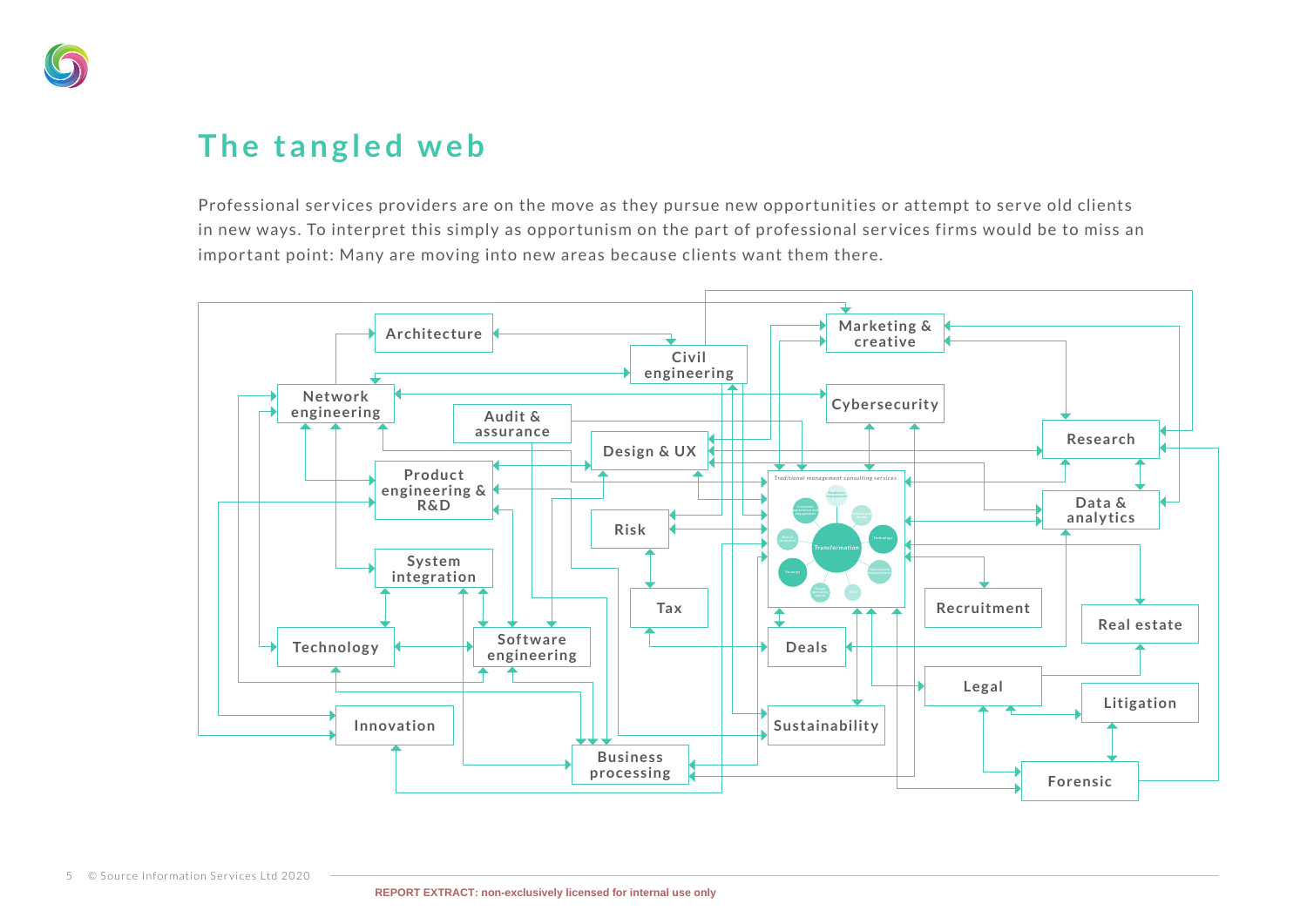

# **The tangled web**

Professional services providers are on the move as they pursue new opportunities or attempt to serve old clients in new ways. To interpret this simply as opportunism on the part of professional services firms would be to miss an important point: Many are moving into new areas because clients want them there.

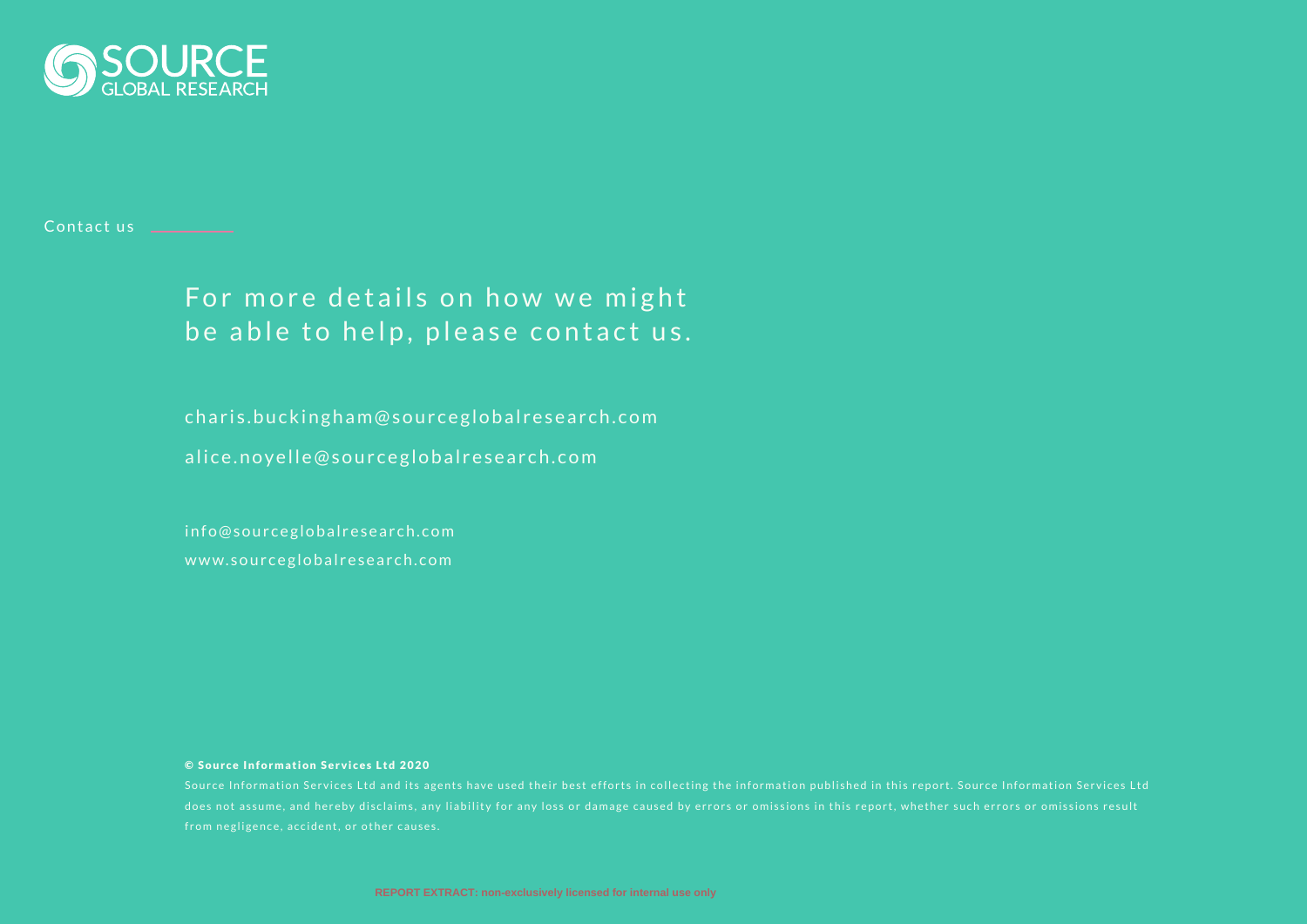

#### Contact us **Contact us**

### For more details on how we might be able to help, please contact us.

charis.buckingham@sourceglobalresearch.com

alice.noyelle@sourceglobalresearch.com

info@sourceglobalresearch.com www.sourceglobalresearch.com

#### © Source Information Services Ltd 2020

Source Information Services Ltd and its agents have used their best efforts in collecting the information published in this report. Source Information Services Ltd does not assume, and hereby disclaims, any liability for any loss or damage caused by errors or omissions in this report, whether such errors or omissions result from negligence, accident, or other causes.